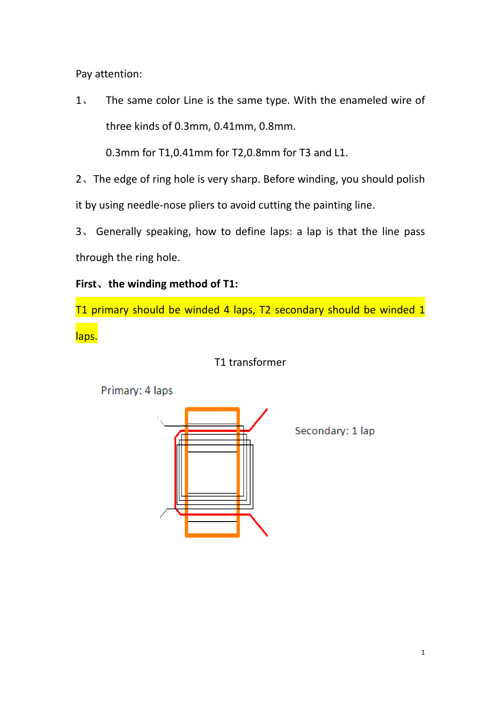Pay attention:

1、 The same color Line is the same type. With the enameled wire of three kinds of 0.3mm, 0.41mm, 0.8mm.

0.3mm for T1,0.41mm for T2,0.8mm for T3 and L1.

2、The edge of ring hole is very sharp. Before winding, you should polish it by using needle‐nose pliers to avoid cutting the painting line.

3、 Generally speaking, how to define laps: a lap is that the line pass through the ring hole.

### **First**、**the winding method of T1:**

T1 primary should be winded 4 laps, T2 secondary should be winded 1 laps.



T1 transformer

Secondary: 1 lap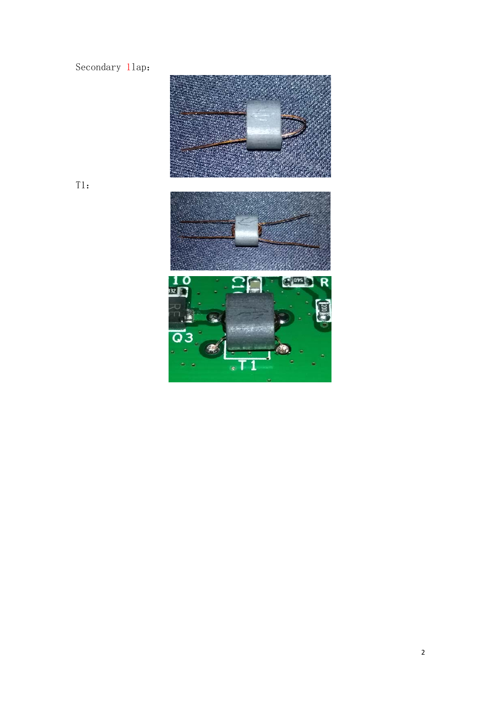### Secondary 11ap:



 $T1$ :

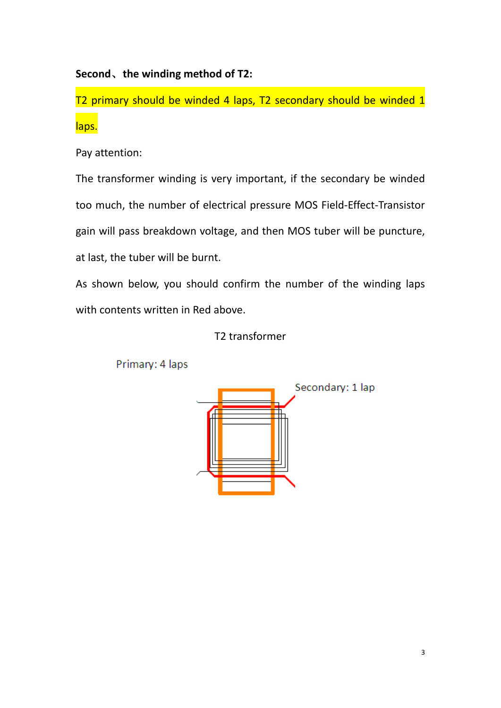### **Second**、**the winding method of T2:**

T2 primary should be winded 4 laps, T2 secondary should be winded 1 laps.

Pay attention:

The transformer winding is very important, if the secondary be winded too much, the number of electrical pressure MOS Field‐Effect‐Transistor gain will pass breakdown voltage, and then MOS tuber will be puncture, at last, the tuber will be burnt.

As shown below, you should confirm the number of the winding laps with contents written in Red above.

### T2 transformer



Primary: 4 laps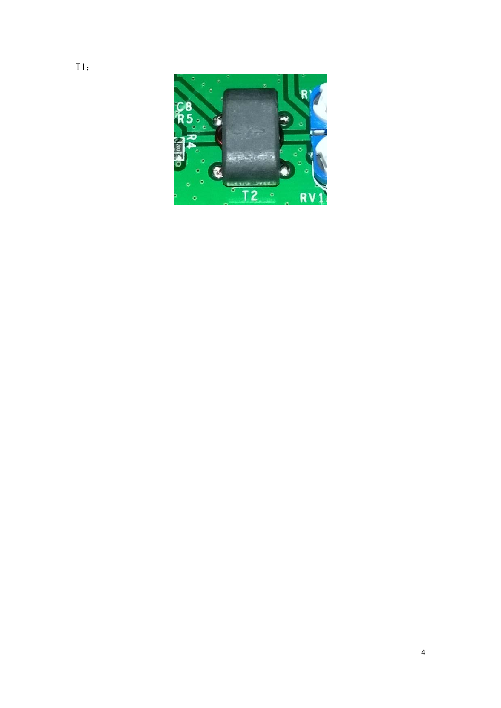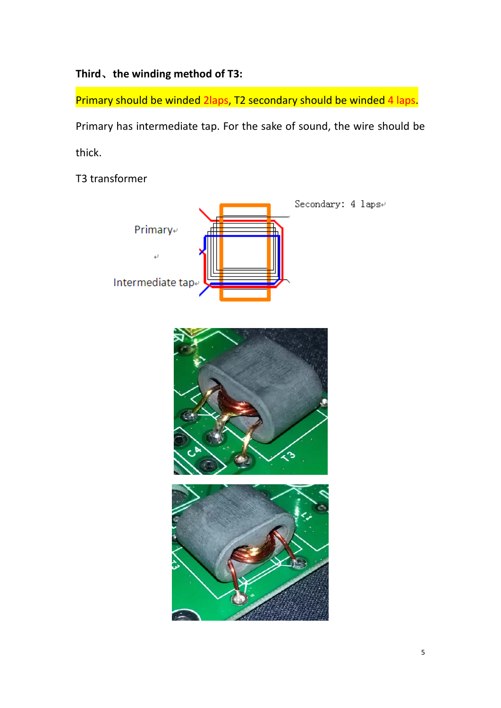# **Third**、**the winding method of T3:**

Primary should be winded 2laps, T2 secondary should be winded 4 laps. Primary has intermediate tap. For the sake of sound, the wire should be thick.

T3 transformer